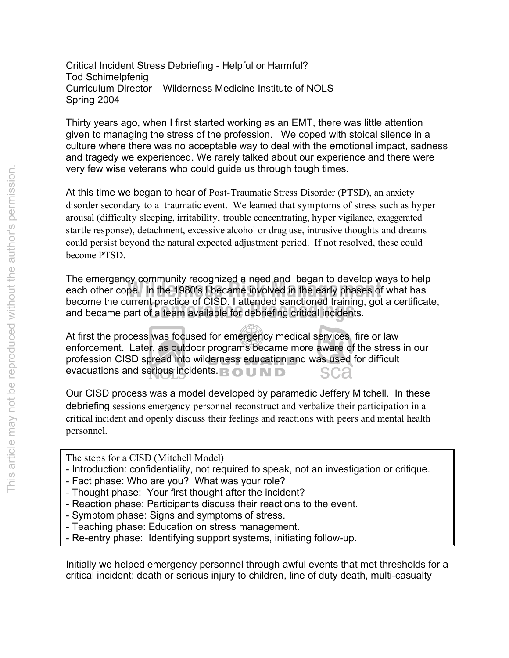Critical Incident Stress Debriefing - Helpful or Harmful? Tod Schimelpfenig Curriculum Director – Wilderness Medicine Institute of NOLS Spring 2004

Thirty years ago, when I first started working as an EMT, there was little attention given to managing the stress of the profession. We coped with stoical silence in a culture where there was no acceptable way to deal with the emotional impact, sadness and tragedy we experienced. We rarely talked about our experience and there were very few wise veterans who could guide us through tough times.

At this time we began to hear of Post-Traumatic Stress Disorder (PTSD), an anxiety disorder secondary to a traumatic event. We learned that symptoms of stress such as hyper arousal (difficulty sleeping, irritability, trouble concentrating, hyper vigilance, exaggerated startle response), detachment, excessive alcohol or drug use, intrusive thoughts and dreams could persist beyond the natural expected adjustment period. If not resolved, these could become PTSD.

become the current practice of CTSD. I attended sanctioned training,<br>and became part of a team available for debriefing critical incidents. The emergency commantly recognized a need and "began to develop ways to help<br>each other cope. In the 1980's I became involved in the early phases of what has The emergency community recognized a need and began to develop ways to help become the current practice of CISD. I attended sanctioned training, got a certificate,

At first the process was focused for emergency medical services, fire or law enforcement. Later, as outdoor programs became more aware of the stress in our profession CISD spread into wilderness education and was used for difficult evacuations and serious incidents. **B O U N D Ca** 

Our CISD process was a model developed by paramedic Jeffery Mitchell. In these debriefing sessions emergency personnel reconstruct and verbalize their participation in a critical incident and openly discuss their feelings and reactions with peers and mental health personnel.

- The steps for a CISD (Mitchell Model)
- Introduction: confidentiality, not required to speak, not an investigation or critique.
- Fact phase: Who are you? What was your role?
- Thought phase: Your first thought after the incident?
- Reaction phase: Participants discuss their reactions to the event.
- Symptom phase: Signs and symptoms of stress.
- Teaching phase: Education on stress management.
- Re-entry phase: Identifying support systems, initiating follow-up.

Initially we helped emergency personnel through awful events that met thresholds for a critical incident: death or serious injury to children, line of duty death, multi-casualty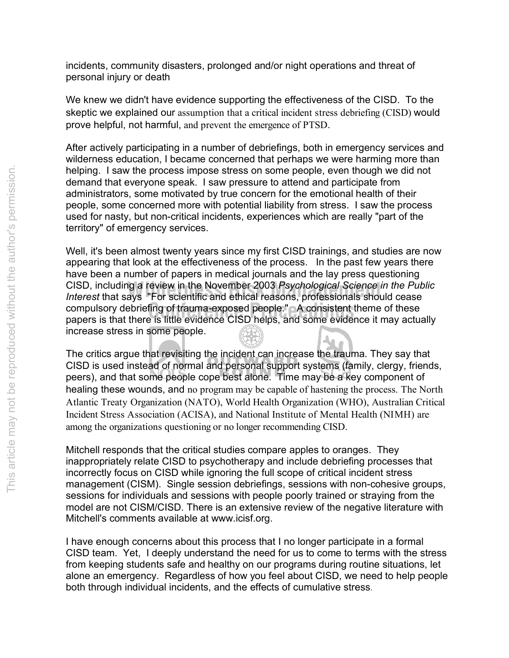incidents, community disasters, prolonged and/or night operations and threat of personal injury or death

We knew we didn't have evidence supporting the effectiveness of the CISD. To the skeptic we explained our assumption that a critical incident stress debriefing (CISD) would prove helpful, not harmful, and prevent the emergence of PTSD.

After actively participating in a number of debriefings, both in emergency services and wilderness education, I became concerned that perhaps we were harming more than helping. I saw the process impose stress on some people, even though we did not demand that everyone speak. I saw pressure to attend and participate from administrators, some motivated by true concern for the emotional health of their people, some concerned more with potential liability from stress. I saw the process used for nasty, but non-critical incidents, experiences which are really "part of the territory" of emergency services.

compulsory debriefing of trauma-exposed people." A consistent theme of these<br>papers is that there is little evidence CISD helps, and some evidence it may actua CISD, including a review in the November 2003 *Psychological Science in the Pub*<br>*Interest* that says "For scientific and ethical reasons, professionals should cease Well, it's been almost twenty years since my first CISD trainings, and studies are now appearing that look at the effectiveness of the process. In the past few years there have been a number of papers in medical journals and the lay press questioning CISD, including a review in the November 2003 *Psychological Science in the Public*  papers is that there is little evidence CISD helps, and some evidence it may actually increase stress in some people.

The critics argue that revisiting the incident can increase the trauma. They say that CISD is used instead of normal and personal support systems (family, clergy, friends, peers), and that some people cope best alone. Time may be a key component of healing these wounds, and no program may be capable of hastening the process. The North Atlantic Treaty Organization (NATO), World Health Organization (WHO), Australian Critical Incident Stress Association (ACISA), and National Institute of Mental Health (NIMH) are among the organizations questioning or no longer recommending CISD.

Mitchell responds that the critical studies compare apples to oranges. They inappropriately relate CISD to psychotherapy and include debriefing processes that incorrectly focus on CISD while ignoring the full scope of critical incident stress management (CISM). Single session debriefings, sessions with non-cohesive groups, sessions for individuals and sessions with people poorly trained or straying from the model are not CISM/CISD. There is an extensive review of the negative literature with Mitchell's comments available at www.icisf.org.

I have enough concerns about this process that I no longer participate in a formal CISD team. Yet, I deeply understand the need for us to come to terms with the stress from keeping students safe and healthy on our programs during routine situations, let alone an emergency. Regardless of how you feel about CISD, we need to help people both through individual incidents, and the effects of cumulative stress.